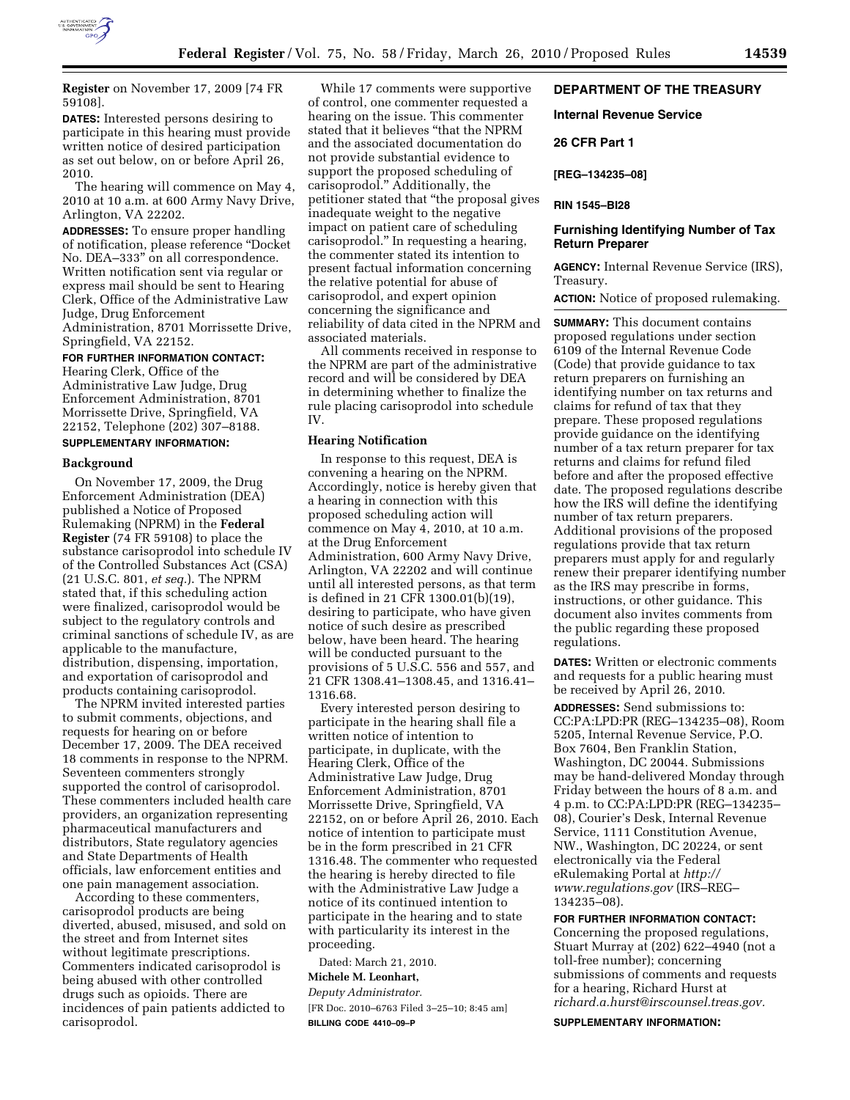

**Register** on November 17, 2009 [74 FR 59108].

**DATES:** Interested persons desiring to participate in this hearing must provide written notice of desired participation as set out below, on or before April 26, 2010.

The hearing will commence on May 4, 2010 at 10 a.m. at 600 Army Navy Drive, Arlington, VA 22202.

**ADDRESSES:** To ensure proper handling of notification, please reference ''Docket No. DEA–333'' on all correspondence. Written notification sent via regular or express mail should be sent to Hearing Clerk, Office of the Administrative Law Judge, Drug Enforcement Administration, 8701 Morrissette Drive, Springfield, VA 22152.

# **FOR FURTHER INFORMATION CONTACT:**

Hearing Clerk, Office of the Administrative Law Judge, Drug Enforcement Administration, 8701 Morrissette Drive, Springfield, VA 22152, Telephone (202) 307–8188.

# **SUPPLEMENTARY INFORMATION:**

#### **Background**

On November 17, 2009, the Drug Enforcement Administration (DEA) published a Notice of Proposed Rulemaking (NPRM) in the **Federal Register** (74 FR 59108) to place the substance carisoprodol into schedule IV of the Controlled Substances Act (CSA) (21 U.S.C. 801, *et seq.*). The NPRM stated that, if this scheduling action were finalized, carisoprodol would be subject to the regulatory controls and criminal sanctions of schedule IV, as are applicable to the manufacture, distribution, dispensing, importation, and exportation of carisoprodol and products containing carisoprodol.

The NPRM invited interested parties to submit comments, objections, and requests for hearing on or before December 17, 2009. The DEA received 18 comments in response to the NPRM. Seventeen commenters strongly supported the control of carisoprodol. These commenters included health care providers, an organization representing pharmaceutical manufacturers and distributors, State regulatory agencies and State Departments of Health officials, law enforcement entities and one pain management association.

According to these commenters, carisoprodol products are being diverted, abused, misused, and sold on the street and from Internet sites without legitimate prescriptions. Commenters indicated carisoprodol is being abused with other controlled drugs such as opioids. There are incidences of pain patients addicted to carisoprodol.

While 17 comments were supportive of control, one commenter requested a hearing on the issue. This commenter stated that it believes ''that the NPRM and the associated documentation do not provide substantial evidence to support the proposed scheduling of carisoprodol.'' Additionally, the petitioner stated that ''the proposal gives inadequate weight to the negative impact on patient care of scheduling carisoprodol.'' In requesting a hearing, the commenter stated its intention to present factual information concerning the relative potential for abuse of carisoprodol, and expert opinion concerning the significance and reliability of data cited in the NPRM and associated materials.

All comments received in response to the NPRM are part of the administrative record and will be considered by DEA in determining whether to finalize the rule placing carisoprodol into schedule IV.

### **Hearing Notification**

In response to this request, DEA is convening a hearing on the NPRM. Accordingly, notice is hereby given that a hearing in connection with this proposed scheduling action will commence on May 4, 2010, at 10 a.m. at the Drug Enforcement Administration, 600 Army Navy Drive, Arlington, VA 22202 and will continue until all interested persons, as that term is defined in 21 CFR 1300.01(b)(19), desiring to participate, who have given notice of such desire as prescribed below, have been heard. The hearing will be conducted pursuant to the provisions of 5 U.S.C. 556 and 557, and 21 CFR 1308.41–1308.45, and 1316.41– 1316.68.

Every interested person desiring to participate in the hearing shall file a written notice of intention to participate, in duplicate, with the Hearing Clerk, Office of the Administrative Law Judge, Drug Enforcement Administration, 8701 Morrissette Drive, Springfield, VA 22152, on or before April 26, 2010. Each notice of intention to participate must be in the form prescribed in 21 CFR 1316.48. The commenter who requested the hearing is hereby directed to file with the Administrative Law Judge a notice of its continued intention to participate in the hearing and to state with particularity its interest in the proceeding.

Dated: March 21, 2010.

#### **Michele M. Leonhart,**

*Deputy Administrator.* 

[FR Doc. 2010–6763 Filed 3–25–10; 8:45 am] **BILLING CODE 4410–09–P** 

### **DEPARTMENT OF THE TREASURY**

#### **Internal Revenue Service**

### **26 CFR Part 1**

**[REG–134235–08]** 

### **RIN 1545–BI28**

### **Furnishing Identifying Number of Tax Return Preparer**

**AGENCY:** Internal Revenue Service (IRS), Treasury.

**ACTION:** Notice of proposed rulemaking.

**SUMMARY:** This document contains proposed regulations under section 6109 of the Internal Revenue Code (Code) that provide guidance to tax return preparers on furnishing an identifying number on tax returns and claims for refund of tax that they prepare. These proposed regulations provide guidance on the identifying number of a tax return preparer for tax returns and claims for refund filed before and after the proposed effective date. The proposed regulations describe how the IRS will define the identifying number of tax return preparers. Additional provisions of the proposed regulations provide that tax return preparers must apply for and regularly renew their preparer identifying number as the IRS may prescribe in forms, instructions, or other guidance. This document also invites comments from the public regarding these proposed regulations.

**DATES:** Written or electronic comments and requests for a public hearing must be received by April 26, 2010.

**ADDRESSES:** Send submissions to: CC:PA:LPD:PR (REG–134235–08), Room 5205, Internal Revenue Service, P.O. Box 7604, Ben Franklin Station, Washington, DC 20044. Submissions may be hand-delivered Monday through Friday between the hours of 8 a.m. and 4 p.m. to CC:PA:LPD:PR (REG–134235– 08), Courier's Desk, Internal Revenue Service, 1111 Constitution Avenue, NW., Washington, DC 20224, or sent electronically via the Federal eRulemaking Portal at *http:// www.regulations.gov* (IRS–REG– 134235–08).

**FOR FURTHER INFORMATION CONTACT:**  Concerning the proposed regulations, Stuart Murray at (202) 622–4940 (not a toll-free number); concerning submissions of comments and requests for a hearing, Richard Hurst at *richard.a.hurst@irscounsel.treas.gov.* 

**SUPPLEMENTARY INFORMATION:**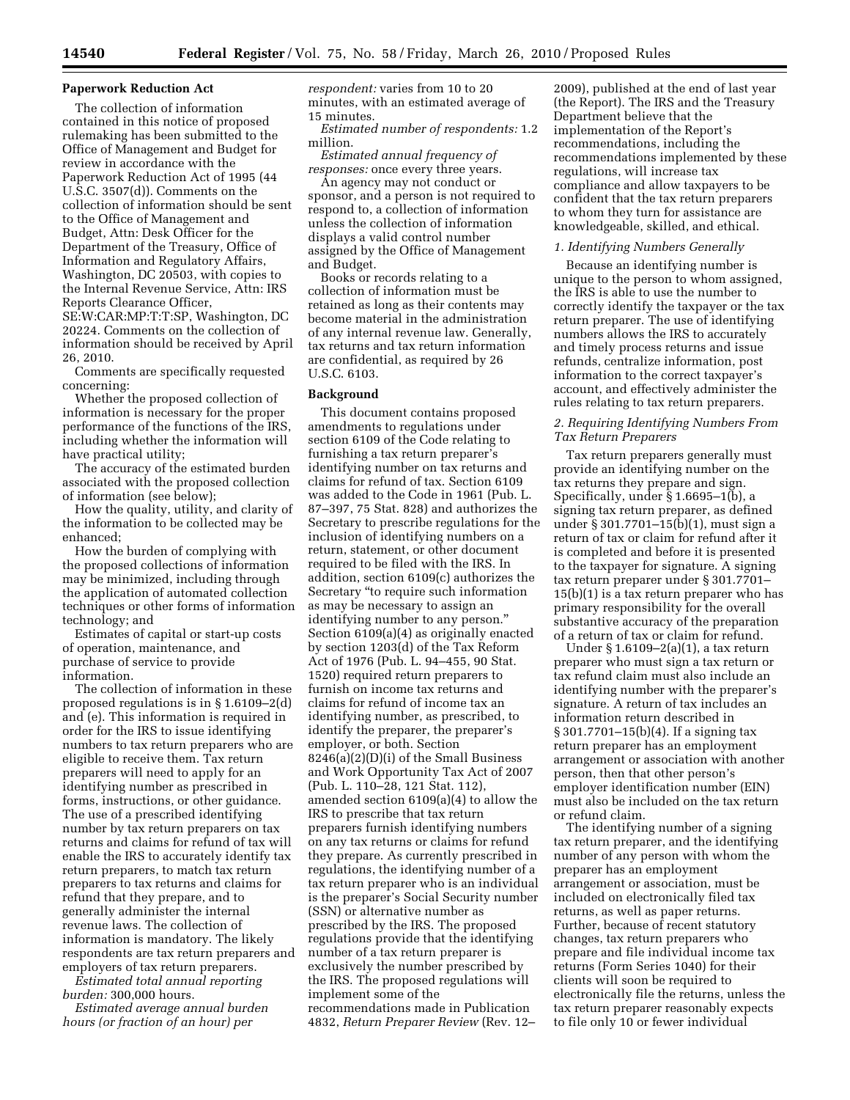### **Paperwork Reduction Act**

The collection of information contained in this notice of proposed rulemaking has been submitted to the Office of Management and Budget for review in accordance with the Paperwork Reduction Act of 1995 (44 U.S.C. 3507(d)). Comments on the collection of information should be sent to the Office of Management and Budget, Attn: Desk Officer for the Department of the Treasury, Office of Information and Regulatory Affairs, Washington, DC 20503, with copies to the Internal Revenue Service, Attn: IRS Reports Clearance Officer, SE:W:CAR:MP:T:T:SP, Washington, DC 20224. Comments on the collection of information should be received by April 26, 2010.

Comments are specifically requested concerning:

Whether the proposed collection of information is necessary for the proper performance of the functions of the IRS, including whether the information will have practical utility;

The accuracy of the estimated burden associated with the proposed collection of information (see below);

How the quality, utility, and clarity of the information to be collected may be enhanced;

How the burden of complying with the proposed collections of information may be minimized, including through the application of automated collection techniques or other forms of information technology; and

Estimates of capital or start-up costs of operation, maintenance, and purchase of service to provide information.

The collection of information in these proposed regulations is in § 1.6109–2(d) and (e). This information is required in order for the IRS to issue identifying numbers to tax return preparers who are eligible to receive them. Tax return preparers will need to apply for an identifying number as prescribed in forms, instructions, or other guidance. The use of a prescribed identifying number by tax return preparers on tax returns and claims for refund of tax will enable the IRS to accurately identify tax return preparers, to match tax return preparers to tax returns and claims for refund that they prepare, and to generally administer the internal revenue laws. The collection of information is mandatory. The likely respondents are tax return preparers and employers of tax return preparers.

*Estimated total annual reporting burden:* 300,000 hours.

*Estimated average annual burden hours (or fraction of an hour) per* 

*respondent:* varies from 10 to 20 minutes, with an estimated average of 15 minutes.

*Estimated number of respondents:* 1.2 million.

*Estimated annual frequency of responses:* once every three years.

An agency may not conduct or sponsor, and a person is not required to respond to, a collection of information unless the collection of information displays a valid control number assigned by the Office of Management and Budget.

Books or records relating to a collection of information must be retained as long as their contents may become material in the administration of any internal revenue law. Generally, tax returns and tax return information are confidential, as required by 26 U.S.C. 6103.

### **Background**

This document contains proposed amendments to regulations under section 6109 of the Code relating to furnishing a tax return preparer's identifying number on tax returns and claims for refund of tax. Section 6109 was added to the Code in 1961 (Pub. L. 87–397, 75 Stat. 828) and authorizes the Secretary to prescribe regulations for the inclusion of identifying numbers on a return, statement, or other document required to be filed with the IRS. In addition, section 6109(c) authorizes the Secretary ''to require such information as may be necessary to assign an identifying number to any person.'' Section 6109(a)(4) as originally enacted by section 1203(d) of the Tax Reform Act of 1976 (Pub. L. 94–455, 90 Stat. 1520) required return preparers to furnish on income tax returns and claims for refund of income tax an identifying number, as prescribed, to identify the preparer, the preparer's employer, or both. Section 8246(a)(2)(D)(i) of the Small Business and Work Opportunity Tax Act of 2007 (Pub. L. 110–28, 121 Stat. 112), amended section 6109(a)(4) to allow the IRS to prescribe that tax return preparers furnish identifying numbers on any tax returns or claims for refund they prepare. As currently prescribed in regulations, the identifying number of a tax return preparer who is an individual is the preparer's Social Security number (SSN) or alternative number as prescribed by the IRS. The proposed regulations provide that the identifying number of a tax return preparer is exclusively the number prescribed by the IRS. The proposed regulations will implement some of the recommendations made in Publication 4832, *Return Preparer Review* (Rev. 12–

2009), published at the end of last year (the Report). The IRS and the Treasury Department believe that the implementation of the Report's recommendations, including the recommendations implemented by these regulations, will increase tax compliance and allow taxpayers to be confident that the tax return preparers to whom they turn for assistance are knowledgeable, skilled, and ethical.

#### *1. Identifying Numbers Generally*

Because an identifying number is unique to the person to whom assigned, the IRS is able to use the number to correctly identify the taxpayer or the tax return preparer. The use of identifying numbers allows the IRS to accurately and timely process returns and issue refunds, centralize information, post information to the correct taxpayer's account, and effectively administer the rules relating to tax return preparers.

## *2. Requiring Identifying Numbers From Tax Return Preparers*

Tax return preparers generally must provide an identifying number on the tax returns they prepare and sign. Specifically, under § 1.6695–1(b), a signing tax return preparer, as defined under § 301.7701–15(b)(1), must sign a return of tax or claim for refund after it is completed and before it is presented to the taxpayer for signature. A signing tax return preparer under § 301.7701– 15(b)(1) is a tax return preparer who has primary responsibility for the overall substantive accuracy of the preparation of a return of tax or claim for refund.

Under § 1.6109–2(a)(1), a tax return preparer who must sign a tax return or tax refund claim must also include an identifying number with the preparer's signature. A return of tax includes an information return described in § 301.7701–15(b)(4). If a signing tax return preparer has an employment arrangement or association with another person, then that other person's employer identification number (EIN) must also be included on the tax return or refund claim.

The identifying number of a signing tax return preparer, and the identifying number of any person with whom the preparer has an employment arrangement or association, must be included on electronically filed tax returns, as well as paper returns. Further, because of recent statutory changes, tax return preparers who prepare and file individual income tax returns (Form Series 1040) for their clients will soon be required to electronically file the returns, unless the tax return preparer reasonably expects to file only 10 or fewer individual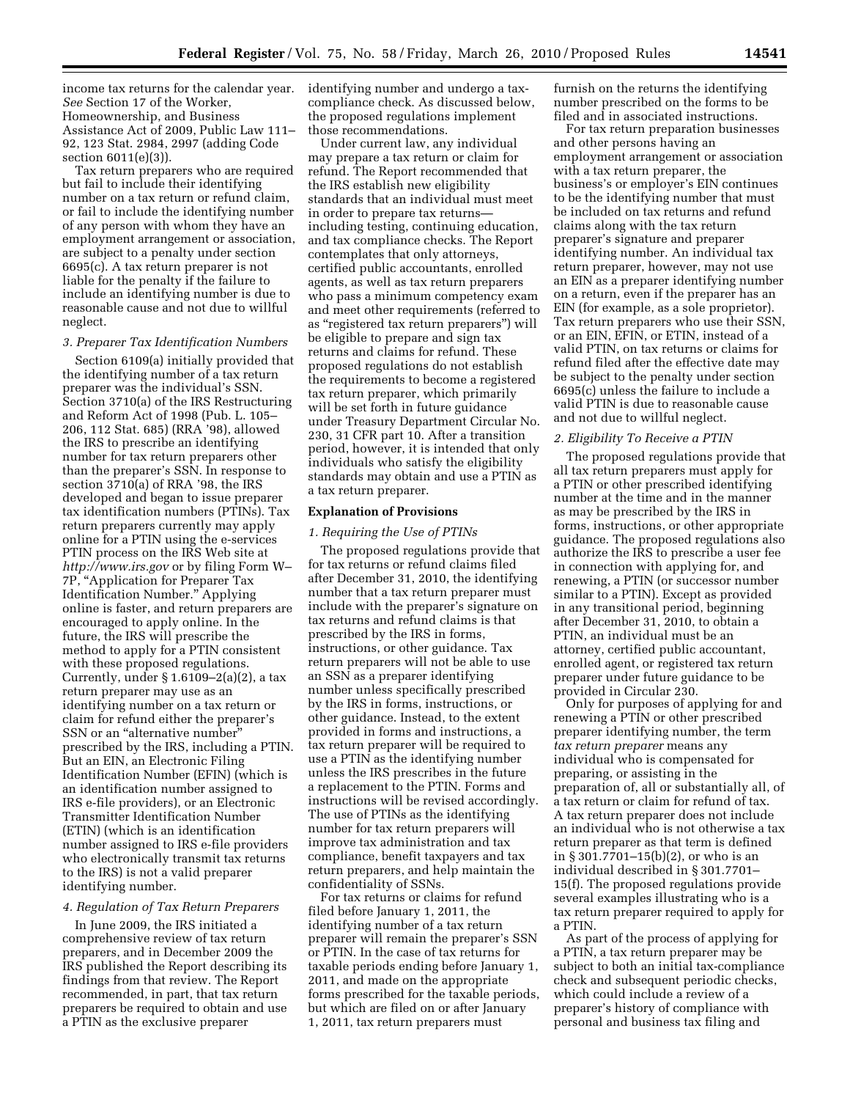income tax returns for the calendar year. identifying number and undergo a tax-*See* Section 17 of the Worker, Homeownership, and Business Assistance Act of 2009, Public Law 111– 92, 123 Stat. 2984, 2997 (adding Code section 6011(e)(3)).

Tax return preparers who are required but fail to include their identifying number on a tax return or refund claim, or fail to include the identifying number of any person with whom they have an employment arrangement or association, are subject to a penalty under section 6695(c). A tax return preparer is not liable for the penalty if the failure to include an identifying number is due to reasonable cause and not due to willful neglect.

#### *3. Preparer Tax Identification Numbers*

Section 6109(a) initially provided that the identifying number of a tax return preparer was the individual's SSN. Section 3710(a) of the IRS Restructuring and Reform Act of 1998 (Pub. L. 105– 206, 112 Stat. 685) (RRA '98), allowed the IRS to prescribe an identifying number for tax return preparers other than the preparer's SSN. In response to section 3710(a) of RRA '98, the IRS developed and began to issue preparer tax identification numbers (PTINs). Tax return preparers currently may apply online for a PTIN using the e-services PTIN process on the IRS Web site at *http://www.irs.gov* or by filing Form W– 7P, "Application for Preparer Tax Identification Number.'' Applying online is faster, and return preparers are encouraged to apply online. In the future, the IRS will prescribe the method to apply for a PTIN consistent with these proposed regulations. Currently, under  $\S 1.6109 - 2(a)(2)$ , a tax return preparer may use as an identifying number on a tax return or claim for refund either the preparer's SSN or an "alternative number" prescribed by the IRS, including a PTIN. But an EIN, an Electronic Filing Identification Number (EFIN) (which is an identification number assigned to IRS e-file providers), or an Electronic Transmitter Identification Number (ETIN) (which is an identification number assigned to IRS e-file providers who electronically transmit tax returns to the IRS) is not a valid preparer identifying number.

### *4. Regulation of Tax Return Preparers*

In June 2009, the IRS initiated a comprehensive review of tax return preparers, and in December 2009 the IRS published the Report describing its findings from that review. The Report recommended, in part, that tax return preparers be required to obtain and use a PTIN as the exclusive preparer

compliance check. As discussed below, the proposed regulations implement those recommendations.

Under current law, any individual may prepare a tax return or claim for refund. The Report recommended that the IRS establish new eligibility standards that an individual must meet in order to prepare tax returns including testing, continuing education, and tax compliance checks. The Report contemplates that only attorneys, certified public accountants, enrolled agents, as well as tax return preparers who pass a minimum competency exam and meet other requirements (referred to as ''registered tax return preparers'') will be eligible to prepare and sign tax returns and claims for refund. These proposed regulations do not establish the requirements to become a registered tax return preparer, which primarily will be set forth in future guidance under Treasury Department Circular No. 230, 31 CFR part 10. After a transition period, however, it is intended that only individuals who satisfy the eligibility standards may obtain and use a PTIN as a tax return preparer.

### **Explanation of Provisions**

### *1. Requiring the Use of PTINs*

The proposed regulations provide that for tax returns or refund claims filed after December 31, 2010, the identifying number that a tax return preparer must include with the preparer's signature on tax returns and refund claims is that prescribed by the IRS in forms, instructions, or other guidance. Tax return preparers will not be able to use an SSN as a preparer identifying number unless specifically prescribed by the IRS in forms, instructions, or other guidance. Instead, to the extent provided in forms and instructions, a tax return preparer will be required to use a PTIN as the identifying number unless the IRS prescribes in the future a replacement to the PTIN. Forms and instructions will be revised accordingly. The use of PTINs as the identifying number for tax return preparers will improve tax administration and tax compliance, benefit taxpayers and tax return preparers, and help maintain the confidentiality of SSNs.

For tax returns or claims for refund filed before January 1, 2011, the identifying number of a tax return preparer will remain the preparer's SSN or PTIN. In the case of tax returns for taxable periods ending before January 1, 2011, and made on the appropriate forms prescribed for the taxable periods, but which are filed on or after January 1, 2011, tax return preparers must

furnish on the returns the identifying number prescribed on the forms to be filed and in associated instructions.

For tax return preparation businesses and other persons having an employment arrangement or association with a tax return preparer, the business's or employer's EIN continues to be the identifying number that must be included on tax returns and refund claims along with the tax return preparer's signature and preparer identifying number. An individual tax return preparer, however, may not use an EIN as a preparer identifying number on a return, even if the preparer has an EIN (for example, as a sole proprietor). Tax return preparers who use their SSN, or an EIN, EFIN, or ETIN, instead of a valid PTIN, on tax returns or claims for refund filed after the effective date may be subject to the penalty under section 6695(c) unless the failure to include a valid PTIN is due to reasonable cause and not due to willful neglect.

### *2. Eligibility To Receive a PTIN*

The proposed regulations provide that all tax return preparers must apply for a PTIN or other prescribed identifying number at the time and in the manner as may be prescribed by the IRS in forms, instructions, or other appropriate guidance. The proposed regulations also authorize the IRS to prescribe a user fee in connection with applying for, and renewing, a PTIN (or successor number similar to a PTIN). Except as provided in any transitional period, beginning after December 31, 2010, to obtain a PTIN, an individual must be an attorney, certified public accountant, enrolled agent, or registered tax return preparer under future guidance to be provided in Circular 230.

Only for purposes of applying for and renewing a PTIN or other prescribed preparer identifying number, the term *tax return preparer* means any individual who is compensated for preparing, or assisting in the preparation of, all or substantially all, of a tax return or claim for refund of tax. A tax return preparer does not include an individual who is not otherwise a tax return preparer as that term is defined in § 301.7701–15(b)(2), or who is an individual described in § 301.7701– 15(f). The proposed regulations provide several examples illustrating who is a tax return preparer required to apply for a PTIN.

As part of the process of applying for a PTIN, a tax return preparer may be subject to both an initial tax-compliance check and subsequent periodic checks, which could include a review of a preparer's history of compliance with personal and business tax filing and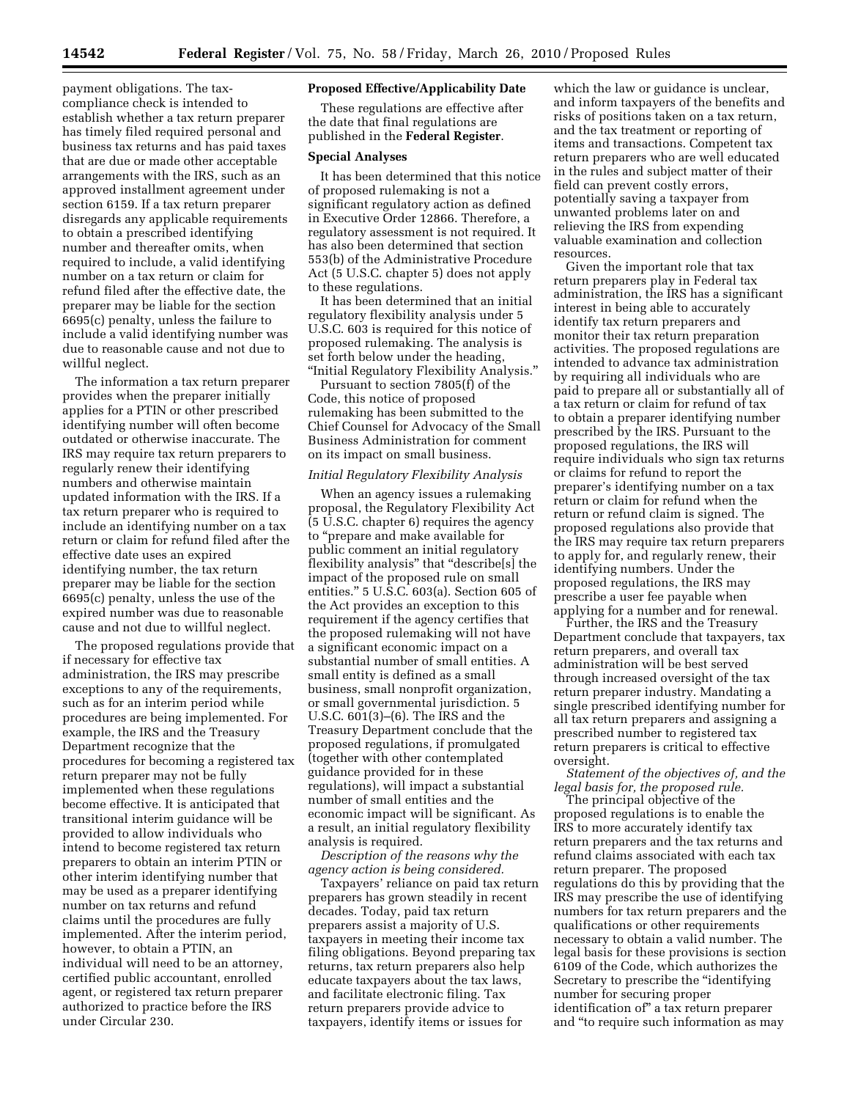payment obligations. The taxcompliance check is intended to establish whether a tax return preparer has timely filed required personal and business tax returns and has paid taxes that are due or made other acceptable arrangements with the IRS, such as an approved installment agreement under section 6159. If a tax return preparer disregards any applicable requirements to obtain a prescribed identifying number and thereafter omits, when required to include, a valid identifying number on a tax return or claim for refund filed after the effective date, the preparer may be liable for the section 6695(c) penalty, unless the failure to include a valid identifying number was due to reasonable cause and not due to willful neglect.

The information a tax return preparer provides when the preparer initially applies for a PTIN or other prescribed identifying number will often become outdated or otherwise inaccurate. The IRS may require tax return preparers to regularly renew their identifying numbers and otherwise maintain updated information with the IRS. If a tax return preparer who is required to include an identifying number on a tax return or claim for refund filed after the effective date uses an expired identifying number, the tax return preparer may be liable for the section 6695(c) penalty, unless the use of the expired number was due to reasonable cause and not due to willful neglect.

The proposed regulations provide that if necessary for effective tax administration, the IRS may prescribe exceptions to any of the requirements, such as for an interim period while procedures are being implemented. For example, the IRS and the Treasury Department recognize that the procedures for becoming a registered tax return preparer may not be fully implemented when these regulations become effective. It is anticipated that transitional interim guidance will be provided to allow individuals who intend to become registered tax return preparers to obtain an interim PTIN or other interim identifying number that may be used as a preparer identifying number on tax returns and refund claims until the procedures are fully implemented. After the interim period, however, to obtain a PTIN, an individual will need to be an attorney, certified public accountant, enrolled agent, or registered tax return preparer authorized to practice before the IRS under Circular 230.

## **Proposed Effective/Applicability Date**

These regulations are effective after the date that final regulations are published in the **Federal Register**.

#### **Special Analyses**

It has been determined that this notice of proposed rulemaking is not a significant regulatory action as defined in Executive Order 12866. Therefore, a regulatory assessment is not required. It has also been determined that section 553(b) of the Administrative Procedure Act (5 U.S.C. chapter 5) does not apply to these regulations.

It has been determined that an initial regulatory flexibility analysis under 5 U.S.C. 603 is required for this notice of proposed rulemaking. The analysis is set forth below under the heading, ''Initial Regulatory Flexibility Analysis.''

Pursuant to section 7805(f) of the Code, this notice of proposed rulemaking has been submitted to the Chief Counsel for Advocacy of the Small Business Administration for comment on its impact on small business.

### *Initial Regulatory Flexibility Analysis*

When an agency issues a rulemaking proposal, the Regulatory Flexibility Act (5 U.S.C. chapter 6) requires the agency to ''prepare and make available for public comment an initial regulatory flexibility analysis'' that ''describe[s] the impact of the proposed rule on small entities.'' 5 U.S.C. 603(a). Section 605 of the Act provides an exception to this requirement if the agency certifies that the proposed rulemaking will not have a significant economic impact on a substantial number of small entities. A small entity is defined as a small business, small nonprofit organization, or small governmental jurisdiction. 5 U.S.C. 601(3)–(6). The IRS and the Treasury Department conclude that the proposed regulations, if promulgated (together with other contemplated guidance provided for in these regulations), will impact a substantial number of small entities and the economic impact will be significant. As a result, an initial regulatory flexibility analysis is required.

*Description of the reasons why the agency action is being considered.* 

Taxpayers' reliance on paid tax return preparers has grown steadily in recent decades. Today, paid tax return preparers assist a majority of U.S. taxpayers in meeting their income tax filing obligations. Beyond preparing tax returns, tax return preparers also help educate taxpayers about the tax laws, and facilitate electronic filing. Tax return preparers provide advice to taxpayers, identify items or issues for

which the law or guidance is unclear, and inform taxpayers of the benefits and risks of positions taken on a tax return, and the tax treatment or reporting of items and transactions. Competent tax return preparers who are well educated in the rules and subject matter of their field can prevent costly errors, potentially saving a taxpayer from unwanted problems later on and relieving the IRS from expending valuable examination and collection resources.

Given the important role that tax return preparers play in Federal tax administration, the IRS has a significant interest in being able to accurately identify tax return preparers and monitor their tax return preparation activities. The proposed regulations are intended to advance tax administration by requiring all individuals who are paid to prepare all or substantially all of a tax return or claim for refund of tax to obtain a preparer identifying number prescribed by the IRS. Pursuant to the proposed regulations, the IRS will require individuals who sign tax returns or claims for refund to report the preparer's identifying number on a tax return or claim for refund when the return or refund claim is signed. The proposed regulations also provide that the IRS may require tax return preparers to apply for, and regularly renew, their identifying numbers. Under the proposed regulations, the IRS may prescribe a user fee payable when applying for a number and for renewal.

Further, the IRS and the Treasury Department conclude that taxpayers, tax return preparers, and overall tax administration will be best served through increased oversight of the tax return preparer industry. Mandating a single prescribed identifying number for all tax return preparers and assigning a prescribed number to registered tax return preparers is critical to effective oversight.

# *Statement of the objectives of, and the legal basis for, the proposed rule.*

The principal objective of the proposed regulations is to enable the IRS to more accurately identify tax return preparers and the tax returns and refund claims associated with each tax return preparer. The proposed regulations do this by providing that the IRS may prescribe the use of identifying numbers for tax return preparers and the qualifications or other requirements necessary to obtain a valid number. The legal basis for these provisions is section 6109 of the Code, which authorizes the Secretary to prescribe the ''identifying number for securing proper identification of'' a tax return preparer and ''to require such information as may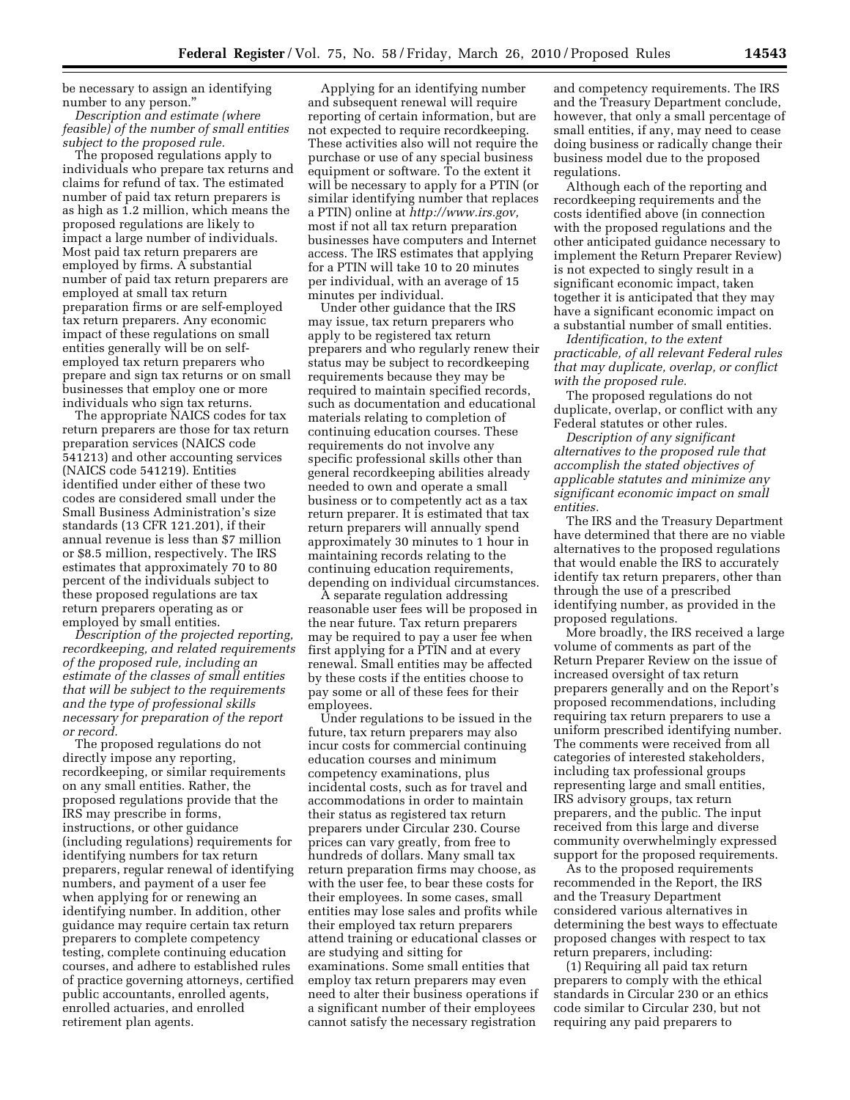be necessary to assign an identifying number to any person.''

*Description and estimate (where feasible) of the number of small entities subject to the proposed rule.* 

The proposed regulations apply to individuals who prepare tax returns and claims for refund of tax. The estimated number of paid tax return preparers is as high as 1.2 million, which means the proposed regulations are likely to impact a large number of individuals. Most paid tax return preparers are employed by firms. A substantial number of paid tax return preparers are employed at small tax return preparation firms or are self-employed tax return preparers. Any economic impact of these regulations on small entities generally will be on selfemployed tax return preparers who prepare and sign tax returns or on small businesses that employ one or more individuals who sign tax returns.

The appropriate NAICS codes for tax return preparers are those for tax return preparation services (NAICS code 541213) and other accounting services (NAICS code 541219). Entities identified under either of these two codes are considered small under the Small Business Administration's size standards (13 CFR 121.201), if their annual revenue is less than \$7 million or \$8.5 million, respectively. The IRS estimates that approximately 70 to 80 percent of the individuals subject to these proposed regulations are tax return preparers operating as or employed by small entities.

*Description of the projected reporting, recordkeeping, and related requirements of the proposed rule, including an estimate of the classes of small entities that will be subject to the requirements and the type of professional skills necessary for preparation of the report or record.* 

The proposed regulations do not directly impose any reporting, recordkeeping, or similar requirements on any small entities. Rather, the proposed regulations provide that the IRS may prescribe in forms, instructions, or other guidance (including regulations) requirements for identifying numbers for tax return preparers, regular renewal of identifying numbers, and payment of a user fee when applying for or renewing an identifying number. In addition, other guidance may require certain tax return preparers to complete competency testing, complete continuing education courses, and adhere to established rules of practice governing attorneys, certified public accountants, enrolled agents, enrolled actuaries, and enrolled retirement plan agents.

Applying for an identifying number and subsequent renewal will require reporting of certain information, but are not expected to require recordkeeping. These activities also will not require the purchase or use of any special business equipment or software. To the extent it will be necessary to apply for a PTIN (or similar identifying number that replaces a PTIN) online at *http://www.irs.gov,*  most if not all tax return preparation businesses have computers and Internet access. The IRS estimates that applying for a PTIN will take 10 to 20 minutes per individual, with an average of 15 minutes per individual.

Under other guidance that the IRS may issue, tax return preparers who apply to be registered tax return preparers and who regularly renew their status may be subject to recordkeeping requirements because they may be required to maintain specified records, such as documentation and educational materials relating to completion of continuing education courses. These requirements do not involve any specific professional skills other than general recordkeeping abilities already needed to own and operate a small business or to competently act as a tax return preparer. It is estimated that tax return preparers will annually spend approximately 30 minutes to 1 hour in maintaining records relating to the continuing education requirements, depending on individual circumstances.

A separate regulation addressing reasonable user fees will be proposed in the near future. Tax return preparers may be required to pay a user fee when first applying for a PTIN and at every renewal. Small entities may be affected by these costs if the entities choose to pay some or all of these fees for their employees.

Under regulations to be issued in the future, tax return preparers may also incur costs for commercial continuing education courses and minimum competency examinations, plus incidental costs, such as for travel and accommodations in order to maintain their status as registered tax return preparers under Circular 230. Course prices can vary greatly, from free to hundreds of dollars. Many small tax return preparation firms may choose, as with the user fee, to bear these costs for their employees. In some cases, small entities may lose sales and profits while their employed tax return preparers attend training or educational classes or are studying and sitting for examinations. Some small entities that employ tax return preparers may even need to alter their business operations if a significant number of their employees cannot satisfy the necessary registration

and competency requirements. The IRS and the Treasury Department conclude, however, that only a small percentage of small entities, if any, may need to cease doing business or radically change their business model due to the proposed regulations.

Although each of the reporting and recordkeeping requirements and the costs identified above (in connection with the proposed regulations and the other anticipated guidance necessary to implement the Return Preparer Review) is not expected to singly result in a significant economic impact, taken together it is anticipated that they may have a significant economic impact on a substantial number of small entities.

*Identification, to the extent practicable, of all relevant Federal rules that may duplicate, overlap, or conflict with the proposed rule.* 

The proposed regulations do not duplicate, overlap, or conflict with any Federal statutes or other rules.

*Description of any significant alternatives to the proposed rule that accomplish the stated objectives of applicable statutes and minimize any significant economic impact on small entities.* 

The IRS and the Treasury Department have determined that there are no viable alternatives to the proposed regulations that would enable the IRS to accurately identify tax return preparers, other than through the use of a prescribed identifying number, as provided in the proposed regulations.

More broadly, the IRS received a large volume of comments as part of the Return Preparer Review on the issue of increased oversight of tax return preparers generally and on the Report's proposed recommendations, including requiring tax return preparers to use a uniform prescribed identifying number. The comments were received from all categories of interested stakeholders, including tax professional groups representing large and small entities, IRS advisory groups, tax return preparers, and the public. The input received from this large and diverse community overwhelmingly expressed support for the proposed requirements.

As to the proposed requirements recommended in the Report, the IRS and the Treasury Department considered various alternatives in determining the best ways to effectuate proposed changes with respect to tax return preparers, including:

(1) Requiring all paid tax return preparers to comply with the ethical standards in Circular 230 or an ethics code similar to Circular 230, but not requiring any paid preparers to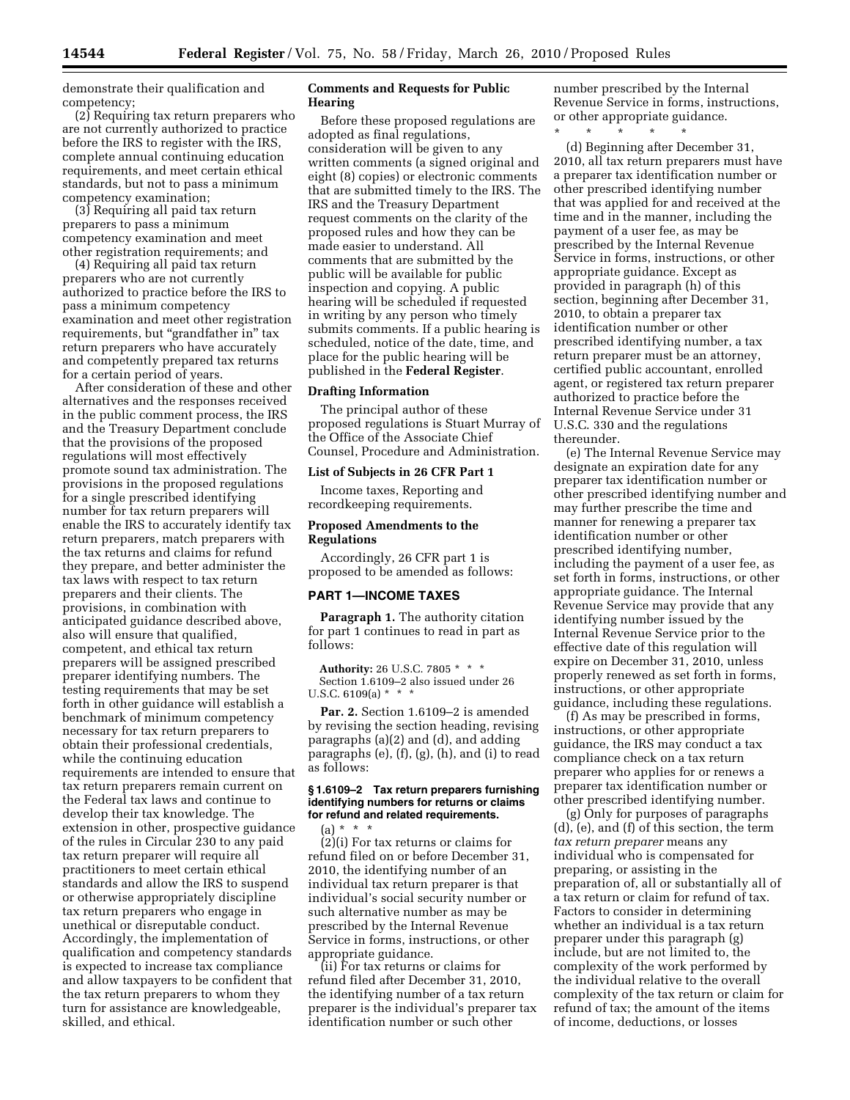demonstrate their qualification and competency;

(2) Requiring tax return preparers who are not currently authorized to practice before the IRS to register with the IRS, complete annual continuing education requirements, and meet certain ethical standards, but not to pass a minimum competency examination;

(3) Requiring all paid tax return preparers to pass a minimum competency examination and meet other registration requirements; and

(4) Requiring all paid tax return preparers who are not currently authorized to practice before the IRS to pass a minimum competency examination and meet other registration requirements, but "grandfather in" tax return preparers who have accurately and competently prepared tax returns for a certain period of years.

After consideration of these and other alternatives and the responses received in the public comment process, the IRS and the Treasury Department conclude that the provisions of the proposed regulations will most effectively promote sound tax administration. The provisions in the proposed regulations for a single prescribed identifying number for tax return preparers will enable the IRS to accurately identify tax return preparers, match preparers with the tax returns and claims for refund they prepare, and better administer the tax laws with respect to tax return preparers and their clients. The provisions, in combination with anticipated guidance described above, also will ensure that qualified, competent, and ethical tax return preparers will be assigned prescribed preparer identifying numbers. The testing requirements that may be set forth in other guidance will establish a benchmark of minimum competency necessary for tax return preparers to obtain their professional credentials, while the continuing education requirements are intended to ensure that tax return preparers remain current on the Federal tax laws and continue to develop their tax knowledge. The extension in other, prospective guidance of the rules in Circular 230 to any paid tax return preparer will require all practitioners to meet certain ethical standards and allow the IRS to suspend or otherwise appropriately discipline tax return preparers who engage in unethical or disreputable conduct. Accordingly, the implementation of qualification and competency standards is expected to increase tax compliance and allow taxpayers to be confident that the tax return preparers to whom they turn for assistance are knowledgeable, skilled, and ethical.

## **Comments and Requests for Public Hearing**

Before these proposed regulations are adopted as final regulations, consideration will be given to any written comments (a signed original and eight (8) copies) or electronic comments that are submitted timely to the IRS. The IRS and the Treasury Department request comments on the clarity of the proposed rules and how they can be made easier to understand. All comments that are submitted by the public will be available for public inspection and copying. A public hearing will be scheduled if requested in writing by any person who timely submits comments. If a public hearing is scheduled, notice of the date, time, and place for the public hearing will be published in the **Federal Register**.

## **Drafting Information**

The principal author of these proposed regulations is Stuart Murray of the Office of the Associate Chief Counsel, Procedure and Administration.

## **List of Subjects in 26 CFR Part 1**

Income taxes, Reporting and recordkeeping requirements.

## **Proposed Amendments to the Regulations**

Accordingly, 26 CFR part 1 is proposed to be amended as follows:

### **PART 1—INCOME TAXES**

**Paragraph 1.** The authority citation for part 1 continues to read in part as follows:

**Authority:** 26 U.S.C. 7805 \* \* \* Section 1.6109–2 also issued under 26 U.S.C.  $6109(a) * * *$ 

**Par. 2.** Section 1.6109–2 is amended by revising the section heading, revising paragraphs (a)(2) and (d), and adding paragraphs (e), (f), (g), (h), and (i) to read as follows:

## **§ 1.6109–2 Tax return preparers furnishing identifying numbers for returns or claims for refund and related requirements.**

 $(a) * * * *$ (2)(i) For tax returns or claims for refund filed on or before December 31, 2010, the identifying number of an individual tax return preparer is that individual's social security number or such alternative number as may be prescribed by the Internal Revenue Service in forms, instructions, or other appropriate guidance.

(ii) For tax returns or claims for refund filed after December 31, 2010, the identifying number of a tax return preparer is the individual's preparer tax identification number or such other

number prescribed by the Internal Revenue Service in forms, instructions, or other appropriate guidance.

\* \* \* \* \* (d) Beginning after December 31, 2010, all tax return preparers must have a preparer tax identification number or other prescribed identifying number that was applied for and received at the time and in the manner, including the payment of a user fee, as may be prescribed by the Internal Revenue Service in forms, instructions, or other appropriate guidance. Except as provided in paragraph (h) of this section, beginning after December 31, 2010, to obtain a preparer tax identification number or other prescribed identifying number, a tax return preparer must be an attorney, certified public accountant, enrolled agent, or registered tax return preparer authorized to practice before the Internal Revenue Service under 31 U.S.C. 330 and the regulations thereunder.

(e) The Internal Revenue Service may designate an expiration date for any preparer tax identification number or other prescribed identifying number and may further prescribe the time and manner for renewing a preparer tax identification number or other prescribed identifying number, including the payment of a user fee, as set forth in forms, instructions, or other appropriate guidance. The Internal Revenue Service may provide that any identifying number issued by the Internal Revenue Service prior to the effective date of this regulation will expire on December 31, 2010, unless properly renewed as set forth in forms, instructions, or other appropriate guidance, including these regulations.

(f) As may be prescribed in forms, instructions, or other appropriate guidance, the IRS may conduct a tax compliance check on a tax return preparer who applies for or renews a preparer tax identification number or other prescribed identifying number.

(g) Only for purposes of paragraphs (d), (e), and (f) of this section, the term *tax return preparer* means any individual who is compensated for preparing, or assisting in the preparation of, all or substantially all of a tax return or claim for refund of tax. Factors to consider in determining whether an individual is a tax return preparer under this paragraph (g) include, but are not limited to, the complexity of the work performed by the individual relative to the overall complexity of the tax return or claim for refund of tax; the amount of the items of income, deductions, or losses